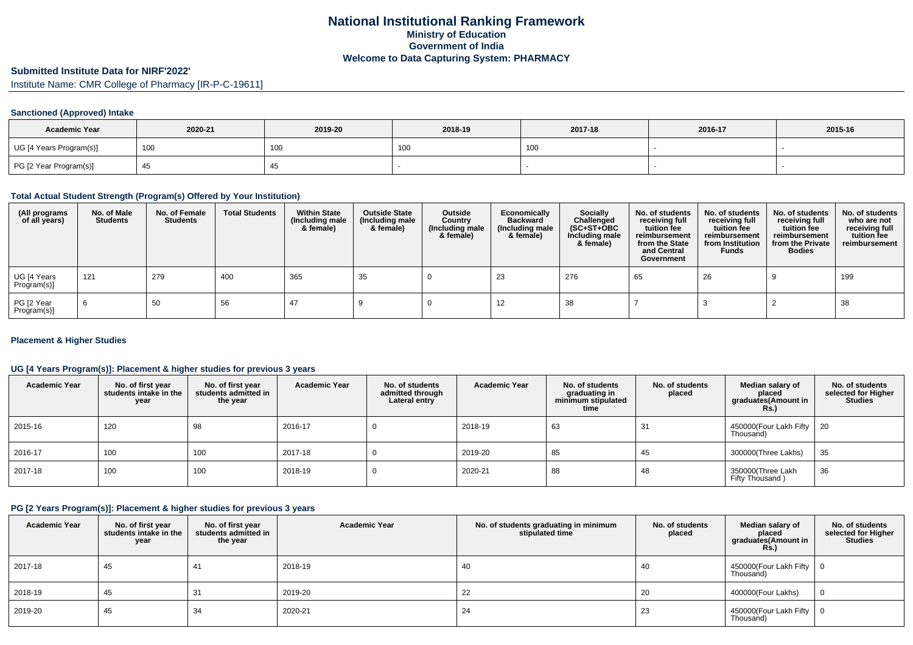# **Submitted Institute Data for NIRF'2022'**

Institute Name: CMR College of Pharmacy [IR-P-C-19611]

## **Sanctioned (Approved) Intake**

| <b>Academic Year</b>    | 2020-21 | 2019-20 | 2018-19         | 2017-18           | 2016-17 | 2015-16 |
|-------------------------|---------|---------|-----------------|-------------------|---------|---------|
| UG [4 Years Program(s)] | 100     | 100     | 10 <sub>0</sub> | 100<br><b>IUU</b> |         |         |
| PG [2 Year Program(s)]  |         | 40      |                 |                   |         |         |

## **Total Actual Student Strength (Program(s) Offered by Your Institution)**

| (All programs<br>of all years) | No. of Male<br><b>Students</b> | No. of Female<br><b>Students</b> | <b>Total Students</b> | <b>Within State</b><br>(Including male<br>& female) | <b>Outside State</b><br>(Including male<br>& female) | Outside<br>Country<br>(Including male<br>& female) | Economically<br><b>Backward</b><br>(Including male<br>& female) | <b>Socially</b><br>Challenged<br>$(SC+ST+OBC)$<br>Including male<br>& female) | No. of students<br>receiving full<br>tuition fee<br>reimbursement<br>from the State<br>and Central<br>Government | No. of students<br>receiving full<br>tuition fee<br>reimbursement<br>from Institution<br><b>Funds</b> | No. of students<br>receiving full<br>tuition fee<br>reimbursement<br>from the Private<br><b>Bodies</b> | No. of students<br>who are not<br>receiving full<br>tuition fee<br>reimbursement |
|--------------------------------|--------------------------------|----------------------------------|-----------------------|-----------------------------------------------------|------------------------------------------------------|----------------------------------------------------|-----------------------------------------------------------------|-------------------------------------------------------------------------------|------------------------------------------------------------------------------------------------------------------|-------------------------------------------------------------------------------------------------------|--------------------------------------------------------------------------------------------------------|----------------------------------------------------------------------------------|
| UG [4 Years<br>Program(s)]     | 121                            | 279                              | 400                   | 365                                                 | 35                                                   |                                                    | 23                                                              | 276                                                                           | 65                                                                                                               | 26                                                                                                    |                                                                                                        | 199                                                                              |
| PG [2 Year<br>Program(s)]      | 6                              | 50                               | 56                    | 47                                                  |                                                      |                                                    | 12                                                              | 38                                                                            |                                                                                                                  |                                                                                                       |                                                                                                        | 38                                                                               |

## **Placement & Higher Studies**

## **UG [4 Years Program(s)]: Placement & higher studies for previous 3 years**

| <b>Academic Year</b> | No. of first year<br>students intake in the<br>year | No. of first vear<br>students admitted in<br>the year | <b>Academic Year</b> | No. of students<br>admitted through<br>Lateral entry | <b>Academic Year</b> | No. of students<br>graduating in<br>minimum stipulated<br>time | No. of students<br>placed | Median salary of<br>placed<br>graduates(Amount in<br>Rs. | No. of students<br>selected for Higher<br><b>Studies</b> |
|----------------------|-----------------------------------------------------|-------------------------------------------------------|----------------------|------------------------------------------------------|----------------------|----------------------------------------------------------------|---------------------------|----------------------------------------------------------|----------------------------------------------------------|
| 2015-16              | 120                                                 | 98                                                    | 2016-17              |                                                      | 2018-19              | 63                                                             | 31                        | 450000(Four Lakh Fifty   20<br>Thousand)                 |                                                          |
| 2016-17              | 100                                                 | 100                                                   | 2017-18              |                                                      | 2019-20              | 85                                                             | 45                        | 300000(Three Lakhs)                                      | 35                                                       |
| 2017-18              | 100                                                 | 100                                                   | 2018-19              |                                                      | 2020-21              | 88                                                             | 48                        | 350000(Three Lakh<br>Fifty Thousand)                     | 36                                                       |

## **PG [2 Years Program(s)]: Placement & higher studies for previous 3 years**

| <b>Academic Year</b> | No. of first year<br>students intake in the<br>year | No. of first year<br>students admitted in<br>the year | <b>Academic Year</b> | No. of students graduating in minimum<br>stipulated time | No. of students<br>placed | Median salary of<br>placed<br>graduates(Amount in<br>Rs.) | No. of students<br>selected for Higher<br><b>Studies</b> |
|----------------------|-----------------------------------------------------|-------------------------------------------------------|----------------------|----------------------------------------------------------|---------------------------|-----------------------------------------------------------|----------------------------------------------------------|
| 2017-18              | 45                                                  | 41                                                    | 2018-19              | 40                                                       | 40                        | 450000(Four Lakh Fifty<br>Thousand)                       |                                                          |
| 2018-19              | 45                                                  | 31                                                    | 2019-20              | 22                                                       | 20                        | 400000(Four Lakhs)                                        |                                                          |
| 2019-20              | 45                                                  | 34                                                    | 2020-21              | 24                                                       | 23                        | 450000 (Four Lakh Fifty<br>Thousand)                      |                                                          |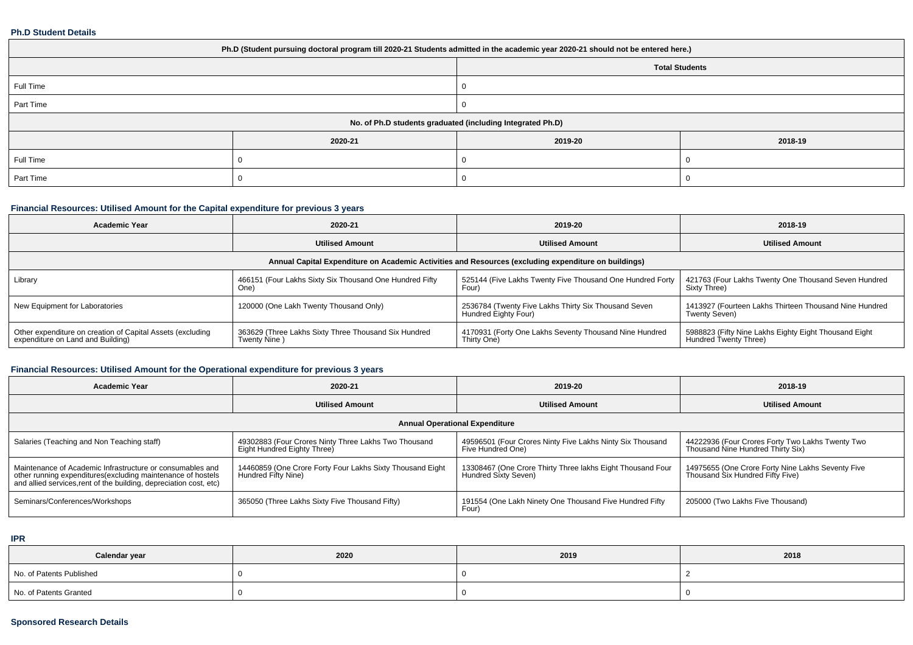#### **Ph.D Student Details**

| Ph.D (Student pursuing doctoral program till 2020-21 Students admitted in the academic year 2020-21 should not be entered here.) |                                                            |         |         |  |  |  |
|----------------------------------------------------------------------------------------------------------------------------------|------------------------------------------------------------|---------|---------|--|--|--|
| <b>Total Students</b>                                                                                                            |                                                            |         |         |  |  |  |
| Full Time                                                                                                                        |                                                            |         |         |  |  |  |
| Part Time                                                                                                                        |                                                            |         |         |  |  |  |
|                                                                                                                                  | No. of Ph.D students graduated (including Integrated Ph.D) |         |         |  |  |  |
|                                                                                                                                  | 2020-21                                                    | 2019-20 | 2018-19 |  |  |  |
| Full Time                                                                                                                        |                                                            |         |         |  |  |  |
| Part Time                                                                                                                        |                                                            |         |         |  |  |  |

## **Financial Resources: Utilised Amount for the Capital expenditure for previous 3 years**

| <b>Academic Year</b>                                                                                 | 2020-21                                                              | 2019-20                                                                      | 2018-19                                                                        |  |  |  |  |  |
|------------------------------------------------------------------------------------------------------|----------------------------------------------------------------------|------------------------------------------------------------------------------|--------------------------------------------------------------------------------|--|--|--|--|--|
|                                                                                                      | <b>Utilised Amount</b>                                               | <b>Utilised Amount</b>                                                       | <b>Utilised Amount</b>                                                         |  |  |  |  |  |
| Annual Capital Expenditure on Academic Activities and Resources (excluding expenditure on buildings) |                                                                      |                                                                              |                                                                                |  |  |  |  |  |
| Library                                                                                              | 466151 (Four Lakhs Sixty Six Thousand One Hundred Fifty<br>One)      | 525144 (Five Lakhs Twenty Five Thousand One Hundred Forty<br>Four'           | 421763 (Four Lakhs Twenty One Thousand Seven Hundred<br>Sixty Three)           |  |  |  |  |  |
| New Equipment for Laboratories                                                                       | 120000 (One Lakh Twenty Thousand Only)                               | 2536784 (Twenty Five Lakhs Thirty Six Thousand Seven<br>Hundred Eighty Four) | 1413927 (Fourteen Lakhs Thirteen Thousand Nine Hundred<br>Twenty Seven)        |  |  |  |  |  |
| Other expenditure on creation of Capital Assets (excluding<br>expenditure on Land and Building)      | 363629 (Three Lakhs Sixty Three Thousand Six Hundred<br>Twenty Nine) | 4170931 (Forty One Lakhs Seventy Thousand Nine Hundred<br>Thirty One)        | 5988823 (Fifty Nine Lakhs Eighty Eight Thousand Eight<br>Hundred Twenty Three) |  |  |  |  |  |

## **Financial Resources: Utilised Amount for the Operational expenditure for previous 3 years**

| <b>Academic Year</b>                                                                                                                                                                            | 2020-21                                                                             | 2019-20                                                                            | 2018-19                                                                               |  |  |  |  |  |
|-------------------------------------------------------------------------------------------------------------------------------------------------------------------------------------------------|-------------------------------------------------------------------------------------|------------------------------------------------------------------------------------|---------------------------------------------------------------------------------------|--|--|--|--|--|
|                                                                                                                                                                                                 | <b>Utilised Amount</b>                                                              | <b>Utilised Amount</b>                                                             | <b>Utilised Amount</b>                                                                |  |  |  |  |  |
| <b>Annual Operational Expenditure</b>                                                                                                                                                           |                                                                                     |                                                                                    |                                                                                       |  |  |  |  |  |
| Salaries (Teaching and Non Teaching staff)                                                                                                                                                      | 49302883 (Four Crores Ninty Three Lakhs Two Thousand<br>Eight Hundred Eighty Three) | 49596501 (Four Crores Ninty Five Lakhs Ninty Six Thousand<br>Five Hundred One)     | 44222936 (Four Crores Forty Two Lakhs Twenty Two<br>Thousand Nine Hundred Thirty Six) |  |  |  |  |  |
| Maintenance of Academic Infrastructure or consumables and<br>other running expenditures (excluding maintenance of hostels<br>and allied services, rent of the building, depreciation cost, etc) | 14460859 (One Crore Forty Four Lakhs Sixty Thousand Eight<br>  Hundred Fifty Nine)  | 13308467 (One Crore Thirty Three lakhs Eight Thousand Four<br>Hundred Sixty Seven) | 14975655 (One Crore Forty Nine Lakhs Seventy Five<br>Thousand Six Hundred Fifty Five) |  |  |  |  |  |
| Seminars/Conferences/Workshops                                                                                                                                                                  | 365050 (Three Lakhs Sixty Five Thousand Fifty)                                      | 191554 (One Lakh Ninety One Thousand Five Hundred Fifty<br>Four)                   | 205000 (Two Lakhs Five Thousand)                                                      |  |  |  |  |  |

**IPR**

| Calendar year            | 2020 | 2019 | 2018 |
|--------------------------|------|------|------|
| No. of Patents Published |      |      |      |
| No. of Patents Granted   |      |      |      |

## **Sponsored Research Details**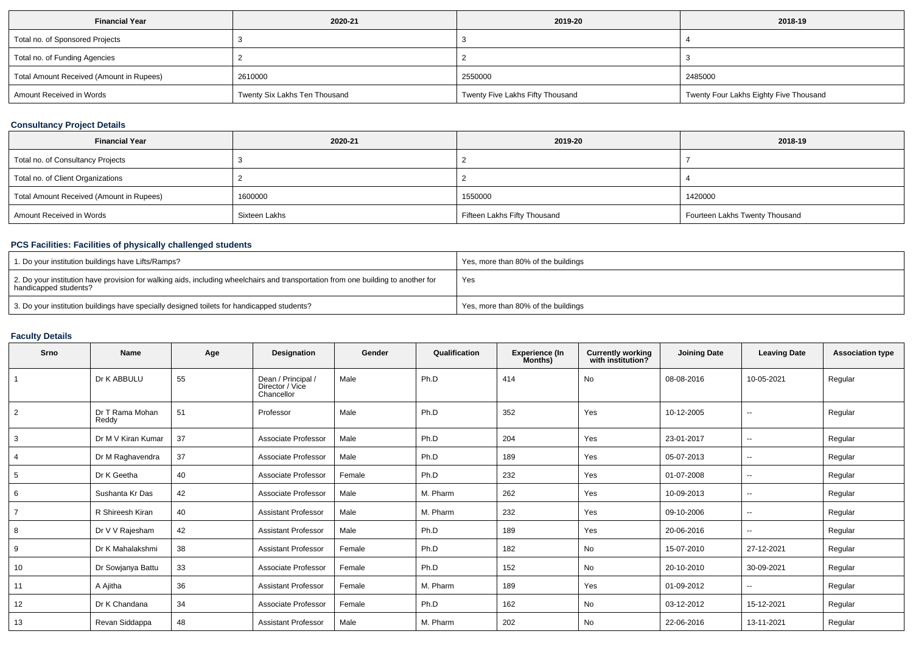| <b>Financial Year</b>                    | 2020-21                       | 2019-20                          | 2018-19                                |
|------------------------------------------|-------------------------------|----------------------------------|----------------------------------------|
| Total no. of Sponsored Projects          |                               |                                  |                                        |
| Total no. of Funding Agencies            |                               |                                  |                                        |
| Total Amount Received (Amount in Rupees) | 2610000                       | 2550000                          | 2485000                                |
| Amount Received in Words                 | Twenty Six Lakhs Ten Thousand | Twenty Five Lakhs Fifty Thousand | Twenty Four Lakhs Eighty Five Thousand |

## **Consultancy Project Details**

| <b>Financial Year</b>                    | 2020-21       | 2019-20                      | 2018-19                        |
|------------------------------------------|---------------|------------------------------|--------------------------------|
| Total no. of Consultancy Projects        |               |                              |                                |
| Total no. of Client Organizations        |               |                              |                                |
| Total Amount Received (Amount in Rupees) | 1600000       | 1550000                      | 1420000                        |
| Amount Received in Words                 | Sixteen Lakhs | Fifteen Lakhs Fifty Thousand | Fourteen Lakhs Twenty Thousand |

## **PCS Facilities: Facilities of physically challenged students**

| 1. Do your institution buildings have Lifts/Ramps?                                                                                                         | Yes, more than 80% of the buildings |
|------------------------------------------------------------------------------------------------------------------------------------------------------------|-------------------------------------|
| 2. Do your institution have provision for walking aids, including wheelchairs and transportation from one building to another for<br>handicapped students? | Yes                                 |
| 3. Do your institution buildings have specially designed toilets for handicapped students?                                                                 | Yes, more than 80% of the buildings |

## **Faculty Details**

| Srno           | Name                     | Age | Designation                                         | Gender | Qualification | <b>Experience (In</b><br>Months) | <b>Currently working</b><br>with institution? | <b>Joining Date</b> | <b>Leaving Date</b>      | <b>Association type</b> |
|----------------|--------------------------|-----|-----------------------------------------------------|--------|---------------|----------------------------------|-----------------------------------------------|---------------------|--------------------------|-------------------------|
|                | Dr K ABBULU              | 55  | Dean / Principal /<br>Director / Vice<br>Chancellor | Male   | Ph.D          | 414                              | <b>No</b>                                     | 08-08-2016          | 10-05-2021               | Regular                 |
| $\overline{2}$ | Dr T Rama Mohan<br>Reddy | 51  | Professor                                           | Male   | Ph.D          | 352                              | Yes                                           | 10-12-2005          | $\overline{\phantom{a}}$ | Regular                 |
| 3              | Dr M V Kiran Kumar       | 37  | Associate Professor                                 | Male   | Ph.D          | 204                              | Yes                                           | 23-01-2017          |                          | Regular                 |
| $\overline{4}$ | Dr M Raghavendra         | 37  | Associate Professor                                 | Male   | Ph.D          | 189                              | Yes                                           | 05-07-2013          | $\overline{\phantom{a}}$ | Regular                 |
| 5              | Dr K Geetha              | 40  | Associate Professor                                 | Female | Ph.D          | 232                              | Yes                                           | 01-07-2008          | $\overline{\phantom{a}}$ | Regular                 |
| 6              | Sushanta Kr Das          | 42  | Associate Professor                                 | Male   | M. Pharm      | 262                              | Yes                                           | 10-09-2013          | $\overline{\phantom{a}}$ | Regular                 |
| $\overline{7}$ | R Shireesh Kiran         | 40  | <b>Assistant Professor</b>                          | Male   | M. Pharm      | 232                              | Yes                                           | 09-10-2006          | $\overline{\phantom{a}}$ | Regular                 |
| 8              | Dr V V Rajesham          | 42  | <b>Assistant Professor</b>                          | Male   | Ph.D          | 189                              | Yes                                           | 20-06-2016          | $\overline{\phantom{a}}$ | Regular                 |
| 9              | Dr K Mahalakshmi         | 38  | <b>Assistant Professor</b>                          | Female | Ph.D          | 182                              | No                                            | 15-07-2010          | 27-12-2021               | Regular                 |
| 10             | Dr Sowjanya Battu        | 33  | Associate Professor                                 | Female | Ph.D          | 152                              | No                                            | 20-10-2010          | 30-09-2021               | Regular                 |
| 11             | A Ajitha                 | 36  | <b>Assistant Professor</b>                          | Female | M. Pharm      | 189                              | Yes                                           | 01-09-2012          | $\overline{\phantom{a}}$ | Regular                 |
| 12             | Dr K Chandana            | 34  | Associate Professor                                 | Female | Ph.D          | 162                              | No                                            | 03-12-2012          | 15-12-2021               | Regular                 |
| 13             | Revan Siddappa           | 48  | <b>Assistant Professor</b>                          | Male   | M. Pharm      | 202                              | No                                            | 22-06-2016          | 13-11-2021               | Regular                 |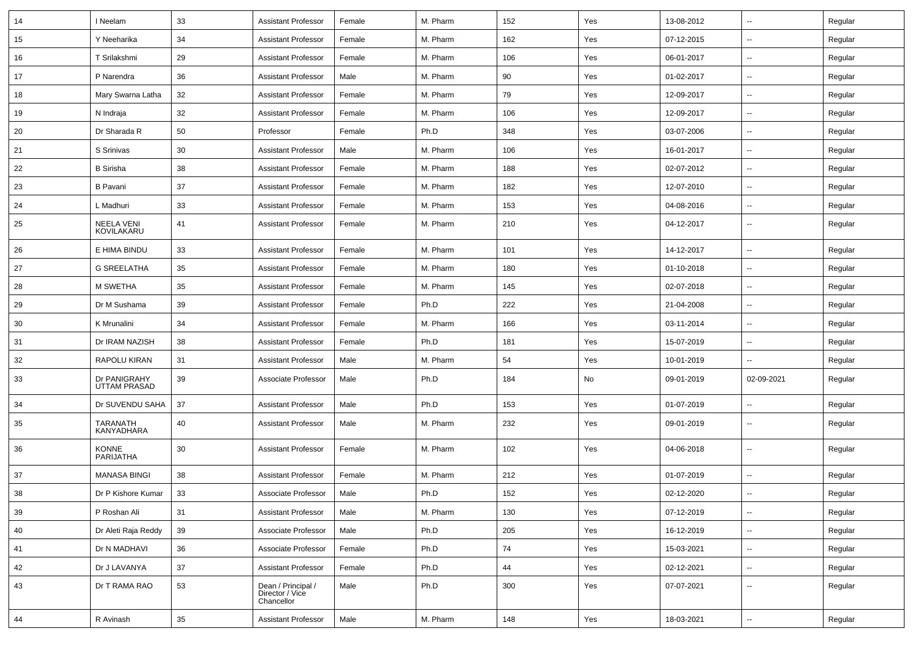| 14 | I Neelam                            | 33 | <b>Assistant Professor</b>                          | Female | M. Pharm | 152 | Yes | 13-08-2012 | $\overline{\phantom{a}}$ | Regular |
|----|-------------------------------------|----|-----------------------------------------------------|--------|----------|-----|-----|------------|--------------------------|---------|
| 15 | Y Neeharika                         | 34 | <b>Assistant Professor</b>                          | Female | M. Pharm | 162 | Yes | 07-12-2015 | $\overline{\phantom{a}}$ | Regular |
| 16 | T Srilakshmi                        | 29 | <b>Assistant Professor</b>                          | Female | M. Pharm | 106 | Yes | 06-01-2017 | --                       | Regular |
| 17 | P Narendra                          | 36 | <b>Assistant Professor</b>                          | Male   | M. Pharm | 90  | Yes | 01-02-2017 | -−                       | Regular |
| 18 | Mary Swarna Latha                   | 32 | <b>Assistant Professor</b>                          | Female | M. Pharm | 79  | Yes | 12-09-2017 | $\overline{\phantom{a}}$ | Regular |
| 19 | N Indraja                           | 32 | <b>Assistant Professor</b>                          | Female | M. Pharm | 106 | Yes | 12-09-2017 | --                       | Regular |
| 20 | Dr Sharada R                        | 50 | Professor                                           | Female | Ph.D     | 348 | Yes | 03-07-2006 | $\sim$                   | Regular |
| 21 | S Srinivas                          | 30 | <b>Assistant Professor</b>                          | Male   | M. Pharm | 106 | Yes | 16-01-2017 | ⊷.                       | Regular |
| 22 | <b>B</b> Sirisha                    | 38 | <b>Assistant Professor</b>                          | Female | M. Pharm | 188 | Yes | 02-07-2012 | --                       | Regular |
| 23 | <b>B</b> Pavani                     | 37 | <b>Assistant Professor</b>                          | Female | M. Pharm | 182 | Yes | 12-07-2010 | --                       | Regular |
| 24 | L Madhuri                           | 33 | <b>Assistant Professor</b>                          | Female | M. Pharm | 153 | Yes | 04-08-2016 | $\overline{\phantom{a}}$ | Regular |
| 25 | <b>NEELA VENI</b><br>KOVILAKARU     | 41 | <b>Assistant Professor</b>                          | Female | M. Pharm | 210 | Yes | 04-12-2017 | --                       | Regular |
| 26 | E HIMA BINDU                        | 33 | <b>Assistant Professor</b>                          | Female | M. Pharm | 101 | Yes | 14-12-2017 | Ξ.                       | Regular |
| 27 | <b>G SREELATHA</b>                  | 35 | <b>Assistant Professor</b>                          | Female | M. Pharm | 180 | Yes | 01-10-2018 | ⊷.                       | Regular |
| 28 | M SWETHA                            | 35 | <b>Assistant Professor</b>                          | Female | M. Pharm | 145 | Yes | 02-07-2018 | ⊷.                       | Regular |
| 29 | Dr M Sushama                        | 39 | <b>Assistant Professor</b>                          | Female | Ph.D     | 222 | Yes | 21-04-2008 | --                       | Regular |
| 30 | K Mrunalini                         | 34 | <b>Assistant Professor</b>                          | Female | M. Pharm | 166 | Yes | 03-11-2014 | -−                       | Regular |
| 31 | Dr IRAM NAZISH                      | 38 | <b>Assistant Professor</b>                          | Female | Ph.D     | 181 | Yes | 15-07-2019 | --                       | Regular |
| 32 | RAPOLU KIRAN                        | 31 | <b>Assistant Professor</b>                          | Male   | M. Pharm | 54  | Yes | 10-01-2019 |                          | Regular |
| 33 | Dr PANIGRAHY<br><b>UTTAM PRASAD</b> | 39 | Associate Professor                                 | Male   | Ph.D     | 184 | No  | 09-01-2019 | 02-09-2021               | Regular |
| 34 | Dr SUVENDU SAHA                     | 37 | <b>Assistant Professor</b>                          | Male   | Ph.D     | 153 | Yes | 01-07-2019 | $\overline{\phantom{a}}$ | Regular |
| 35 | TARANATH<br>KANYADHARA              | 40 | <b>Assistant Professor</b>                          | Male   | M. Pharm | 232 | Yes | 09-01-2019 | ⊷.                       | Regular |
| 36 | KONNE<br><b>PARIJATHA</b>           | 30 | <b>Assistant Professor</b>                          | Female | M. Pharm | 102 | Yes | 04-06-2018 | $\overline{\phantom{a}}$ | Regular |
| 37 | <b>MANASA BINGI</b>                 | 38 | <b>Assistant Professor</b>                          | Female | M. Pharm | 212 | Yes | 01-07-2019 | --                       | Regular |
| 38 | Dr P Kishore Kumar                  | 33 | Associate Professor                                 | Male   | Ph.D     | 152 | Yes | 02-12-2020 | $\overline{\phantom{a}}$ | Regular |
| 39 | P Roshan Ali                        | 31 | <b>Assistant Professor</b>                          | Male   | M. Pharm | 130 | Yes | 07-12-2019 | ш,                       | Regular |
| 40 | Dr Aleti Raja Reddy                 | 39 | Associate Professor                                 | Male   | Ph.D     | 205 | Yes | 16-12-2019 | --                       | Regular |
| 41 | Dr N MADHAVI                        | 36 | Associate Professor                                 | Female | Ph.D     | 74  | Yes | 15-03-2021 | -−                       | Regular |
| 42 | Dr J LAVANYA                        | 37 | <b>Assistant Professor</b>                          | Female | Ph.D     | 44  | Yes | 02-12-2021 | $\sim$                   | Regular |
| 43 | Dr T RAMA RAO                       | 53 | Dean / Principal /<br>Director / Vice<br>Chancellor | Male   | Ph.D     | 300 | Yes | 07-07-2021 | ⊷.                       | Regular |
| 44 | R Avinash                           | 35 | <b>Assistant Professor</b>                          | Male   | M. Pharm | 148 | Yes | 18-03-2021 | н.                       | Regular |